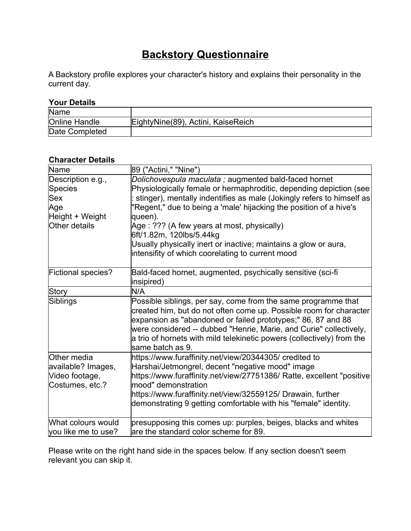## **Backstory Questionnaire**

A Backstory profile explores your character's history and explains their personality in the current day.

## **Your Details**

| Name                 |                                    |
|----------------------|------------------------------------|
| <b>Online Handle</b> | EightyNine(89), Actini, KaiseReich |
| Date Completed       |                                    |

## **Character Details**

| Name                                                                           | 89 ("Actini," "Nine")                                                                                                                                                                                                                                                                                                                                                                                                                                                                  |
|--------------------------------------------------------------------------------|----------------------------------------------------------------------------------------------------------------------------------------------------------------------------------------------------------------------------------------------------------------------------------------------------------------------------------------------------------------------------------------------------------------------------------------------------------------------------------------|
| Description e.g.,<br>Species<br>Sex<br>Age<br>Height + Weight<br>Other details | Dolichovespula maculata; augmented bald-faced hornet<br>Physiologically female or hermaphroditic, depending depiction (see<br>stinger), mentally indentifies as male (Jokingly refers to himself as<br>"Regent," due to being a 'male' hijacking the position of a hive's<br>queen).<br>Age : ??? (A few years at most, physically)<br>6ft/1.82m, 120lbs/5.44kg<br>Usually physically inert or inactive; maintains a glow or aura,<br>intensifity of which coorelating to current mood |
| <b>Fictional species?</b>                                                      | Bald-faced hornet, augmented, psychically sensitive (sci-fi<br>insipired)                                                                                                                                                                                                                                                                                                                                                                                                              |
| Story                                                                          | N/A                                                                                                                                                                                                                                                                                                                                                                                                                                                                                    |
| Siblings                                                                       | Possible siblings, per say, come from the same programme that<br>created him, but do not often come up. Possible room for character<br>expansion as "abandoned or failed prototypes;" 86, 87 and 88<br>were considered -- dubbed "Henrie, Marie, and Curie" collectively,<br>a trio of hornets with mild telekinetic powers (collectively) from the<br>lsame batch as 9.                                                                                                               |
| Other media<br>available? Images,<br>Video footage,<br>Costumes, etc.?         | https://www.furaffinity.net/view/20344305/ credited to<br>Harshai/Jetmongrel, decent "negative mood" image<br>https://www.furaffinity.net/view/27751386/ Ratte, excellent "positive<br>lmood" demonstration<br>https://www.furaffinity.net/view/32559125/ Drawain, further<br>demonstrating 9 getting comfortable with his "female" identity.                                                                                                                                          |
| What colours would<br>you like me to use?                                      | presupposing this comes up: purples, beiges, blacks and whites<br>are the standard color scheme for 89.                                                                                                                                                                                                                                                                                                                                                                                |

Please write on the right hand side in the spaces below. If any section doesn't seem relevant you can skip it.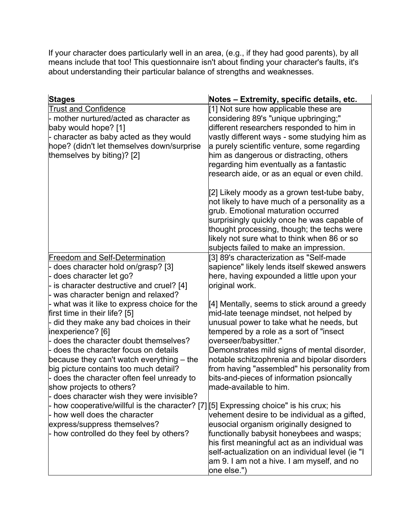If your character does particularly well in an area, (e.g., if they had good parents), by all means include that too! This questionnaire isn't about finding your character's faults, it's about understanding their particular balance of strengths and weaknesses.

| <b>Stages</b>                                                                                                                                                                                                                                                                                                                                                                                                                               | Notes – Extremity, specific details, etc.                                                                                                                                                                                                                                                                                                                                                                                       |
|---------------------------------------------------------------------------------------------------------------------------------------------------------------------------------------------------------------------------------------------------------------------------------------------------------------------------------------------------------------------------------------------------------------------------------------------|---------------------------------------------------------------------------------------------------------------------------------------------------------------------------------------------------------------------------------------------------------------------------------------------------------------------------------------------------------------------------------------------------------------------------------|
| <b>Trust and Confidence</b><br>- mother nurtured/acted as character as<br>baby would hope? [1]<br>- character as baby acted as they would<br>hope? (didn't let themselves down/surprise<br>themselves by biting)? [2]                                                                                                                                                                                                                       | [1] Not sure how applicable these are<br>considering 89's "unique upbringing;"<br>different researchers responded to him in<br>vastly different ways - some studying him as<br>a purely scientific venture, some regarding<br>him as dangerous or distracting, others<br>regarding him eventually as a fantastic<br>research aide, or as an equal or even child.                                                                |
|                                                                                                                                                                                                                                                                                                                                                                                                                                             | [[2] Likely moody as a grown test-tube baby,<br>not likely to have much of a personality as a<br>grub. Emotional maturation occurred<br>surprisingly quickly once he was capable of<br>thought processing, though; the techs were<br>likely not sure what to think when 86 or so<br>subjects failed to make an impression.                                                                                                      |
| <b>Freedom and Self-Determination</b><br>does character hold on/grasp? [3]<br>does character let go?<br>- is character destructive and cruel? [4]<br>- was character benign and relaxed?                                                                                                                                                                                                                                                    | [3] 89's characterization as "Self-made<br>sapience" likely lends itself skewed answers<br>here, having expounded a little upon your<br>original work.                                                                                                                                                                                                                                                                          |
| - what was it like to express choice for the<br>first time in their life? [5]<br>did they make any bad choices in their<br>inexperience? [6]<br>- does the character doubt themselves?<br>- does the character focus on details<br>because they can't watch everything – the<br>big picture contains too much detail?<br>- does the character often feel unready to<br>show projects to others?<br>does character wish they were invisible? | [4] Mentally, seems to stick around a greedy<br>mid-late teenage mindset, not helped by<br>unusual power to take what he needs, but<br>tempered by a role as a sort of "insect<br> overseer/babysitter."<br>Demonstrates mild signs of mental disorder,<br>notable schitzophrenia and bipolar disorders<br>from having "assembled" his personality from<br>bits-and-pieces of information psioncally<br>lmade-available to him. |
| how cooperative/willful is the character? [7] [5] Expressing choice" is his crux; his<br>- how well does the character<br>express/suppress themselves?<br>- how controlled do they feel by others?                                                                                                                                                                                                                                          | vehement desire to be individual as a gifted,<br>eusocial organism originally designed to<br>functionally babysit honeybees and wasps;<br>his first meaningful act as an individual was<br>self-actualization on an individual level (ie "I<br>am 9. I am not a hive. I am myself, and no<br>one else.")                                                                                                                        |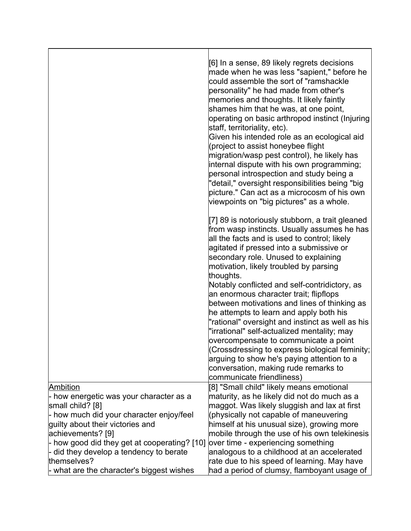|                                                                              | [6] In a sense, 89 likely regrets decisions<br>made when he was less "sapient," before he<br>could assemble the sort of "ramshackle<br>personality" he had made from other's<br>memories and thoughts. It likely faintly<br>shames him that he was, at one point,<br>operating on basic arthropod instinct (Injuring<br>staff, territoriality, etc).<br>Given his intended role as an ecological aid<br>(project to assist honeybee flight<br>migration/wasp pest control), he likely has<br>internal dispute with his own programming;<br>personal introspection and study being a<br>"detail," oversight responsibilities being "big |
|------------------------------------------------------------------------------|----------------------------------------------------------------------------------------------------------------------------------------------------------------------------------------------------------------------------------------------------------------------------------------------------------------------------------------------------------------------------------------------------------------------------------------------------------------------------------------------------------------------------------------------------------------------------------------------------------------------------------------|
|                                                                              | picture." Can act as a microcosm of his own<br>viewpoints on "big pictures" as a whole.                                                                                                                                                                                                                                                                                                                                                                                                                                                                                                                                                |
|                                                                              | [7] 89 is notoriously stubborn, a trait gleaned<br>from wasp instincts. Usually assumes he has<br>all the facts and is used to control; likely<br>agitated if pressed into a submissive or<br>secondary role. Unused to explaining<br>motivation, likely troubled by parsing<br>thoughts.                                                                                                                                                                                                                                                                                                                                              |
|                                                                              | Notably conflicted and self-contridictory, as<br>an enormous character trait; flipflops<br>between motivations and lines of thinking as<br>he attempts to learn and apply both his<br>"rational" oversight and instinct as well as his                                                                                                                                                                                                                                                                                                                                                                                                 |
|                                                                              | "irrational" self-actualized mentality; may<br>overcompensate to communicate a point<br>(Crossdressing to express biological feminity;<br>arguing to show he's paying attention to a<br>conversation, making rude remarks to<br>communicate friendliness)                                                                                                                                                                                                                                                                                                                                                                              |
| Ambition                                                                     | [8] "Small child" likely means emotional                                                                                                                                                                                                                                                                                                                                                                                                                                                                                                                                                                                               |
| - how energetic was your character as a                                      | maturity, as he likely did not do much as a                                                                                                                                                                                                                                                                                                                                                                                                                                                                                                                                                                                            |
| small child? [8]                                                             | maggot. Was likely sluggish and lax at first                                                                                                                                                                                                                                                                                                                                                                                                                                                                                                                                                                                           |
| - how much did your character enjoy/feel<br>guilty about their victories and | (physically not capable of maneuvering<br>himself at his unusual size), growing more                                                                                                                                                                                                                                                                                                                                                                                                                                                                                                                                                   |
| achievements? [9]                                                            | mobile through the use of his own telekinesis                                                                                                                                                                                                                                                                                                                                                                                                                                                                                                                                                                                          |
| - how good did they get at cooperating? [10]                                 | over time - experiencing something                                                                                                                                                                                                                                                                                                                                                                                                                                                                                                                                                                                                     |
| did they develop a tendency to berate                                        | analogous to a childhood at an accelerated                                                                                                                                                                                                                                                                                                                                                                                                                                                                                                                                                                                             |
| themselves?                                                                  | rate due to his speed of learning. May have                                                                                                                                                                                                                                                                                                                                                                                                                                                                                                                                                                                            |
| - what are the character's biggest wishes                                    | had a period of clumsy, flamboyant usage of                                                                                                                                                                                                                                                                                                                                                                                                                                                                                                                                                                                            |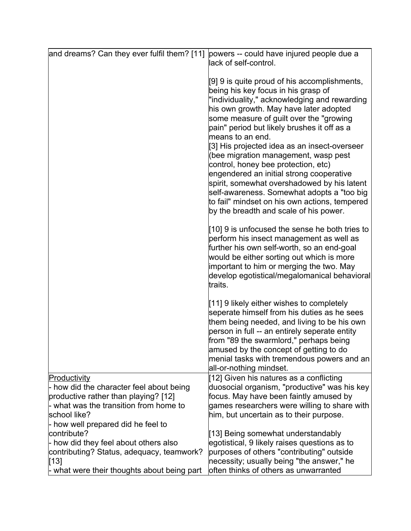| and dreams? Can they ever fulfil them? [11]                                                                                                                                                      | powers -- could have injured people due a<br>lack of self-control.                                                                                                                                                                                                                                                                                                                                                                                                                                                                                                                                                                                             |
|--------------------------------------------------------------------------------------------------------------------------------------------------------------------------------------------------|----------------------------------------------------------------------------------------------------------------------------------------------------------------------------------------------------------------------------------------------------------------------------------------------------------------------------------------------------------------------------------------------------------------------------------------------------------------------------------------------------------------------------------------------------------------------------------------------------------------------------------------------------------------|
|                                                                                                                                                                                                  | [9] 9 is quite proud of his accomplishments,<br>being his key focus in his grasp of<br>"individuality," acknowledging and rewarding<br>his own growth. May have later adopted<br>some measure of guilt over the "growing<br>pain" period but likely brushes it off as a<br>means to an end.<br>[3] His projected idea as an insect-overseer<br>(bee migration management, wasp pest<br>control, honey bee protection, etc)<br>engendered an initial strong cooperative<br>spirit, somewhat overshadowed by his latent<br>self-awareness. Somewhat adopts a "too big<br>to fail" mindset on his own actions, tempered<br>by the breadth and scale of his power. |
|                                                                                                                                                                                                  | [10] 9 is unfocused the sense he both tries to<br>perform his insect management as well as<br>further his own self-worth, so an end-goal<br>would be either sorting out which is more<br>important to him or merging the two. May<br>develop egotistical/megalomanical behavioral<br>ltraits.                                                                                                                                                                                                                                                                                                                                                                  |
|                                                                                                                                                                                                  | [11] 9 likely either wishes to completely<br>seperate himself from his duties as he sees<br>them being needed, and living to be his own<br>person in full -- an entirely seperate entity<br>from "89 the swarmlord," perhaps being<br>amused by the concept of getting to do<br>menial tasks with tremendous powers and an<br>all-or-nothing mindset.                                                                                                                                                                                                                                                                                                          |
| Productivity<br>- how did the character feel about being<br>productive rather than playing? [12]<br>- what was the transition from home to<br>school like?<br>- how well prepared did he feel to | [12] Given his natures as a conflicting<br>duosocial organism, "productive" was his key<br>focus. May have been faintly amused by<br>games researchers were willing to share with<br>him, but uncertain as to their purpose.                                                                                                                                                                                                                                                                                                                                                                                                                                   |
| contribute?<br>- how did they feel about others also<br>contributing? Status, adequacy, teamwork?<br>[13]<br>- what were their thoughts about being part                                         | [13] Being somewhat understandably<br>egotistical, 9 likely raises questions as to<br>purposes of others "contributing" outside<br>necessity; usually being "the answer," he<br>often thinks of others as unwarranted                                                                                                                                                                                                                                                                                                                                                                                                                                          |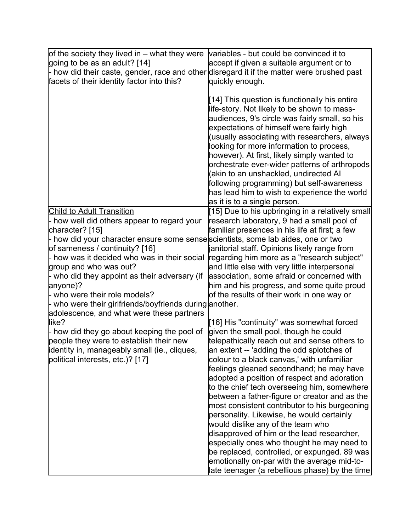| of the society they lived in $-$ what they were                                            | variables - but could be convinced it to                                                                                                                                                                                                                                                                                                                                                                                                                                                                                                                      |
|--------------------------------------------------------------------------------------------|---------------------------------------------------------------------------------------------------------------------------------------------------------------------------------------------------------------------------------------------------------------------------------------------------------------------------------------------------------------------------------------------------------------------------------------------------------------------------------------------------------------------------------------------------------------|
| going to be as an adult? [14]                                                              | accept if given a suitable argument or to                                                                                                                                                                                                                                                                                                                                                                                                                                                                                                                     |
| - how did their caste, gender, race and other disregard it if the matter were brushed past |                                                                                                                                                                                                                                                                                                                                                                                                                                                                                                                                                               |
| facets of their identity factor into this?                                                 | quickly enough.                                                                                                                                                                                                                                                                                                                                                                                                                                                                                                                                               |
|                                                                                            | [14] This question is functionally his entire<br>life-story. Not likely to be shown to mass-<br>audiences, 9's circle was fairly small, so his<br>expectations of himself were fairly high<br>(usually associating with researchers, always<br>looking for more information to process,<br>however). At first, likely simply wanted to<br>orchestrate ever-wider patterns of arthropods<br>(akin to an unshackled, undirected Al<br>following programming) but self-awareness<br>has lead him to wish to experience the world<br>as it is to a single person. |
| <b>Child to Adult Transition</b>                                                           | [15] Due to his upbringing in a relatively small                                                                                                                                                                                                                                                                                                                                                                                                                                                                                                              |
| - how well did others appear to regard your                                                | research laboratory, 9 had a small pool of                                                                                                                                                                                                                                                                                                                                                                                                                                                                                                                    |
| character? [15]                                                                            | familiar presences in his life at first; a few                                                                                                                                                                                                                                                                                                                                                                                                                                                                                                                |
| - how did your character ensure some sensescientists, some lab aides, one or two           |                                                                                                                                                                                                                                                                                                                                                                                                                                                                                                                                                               |
| of sameness / continuity? [16]                                                             | janitorial staff. Opinions likely range from                                                                                                                                                                                                                                                                                                                                                                                                                                                                                                                  |
| - how was it decided who was in their social                                               | regarding him more as a "research subject"                                                                                                                                                                                                                                                                                                                                                                                                                                                                                                                    |
| group and who was out?                                                                     | and little else with very little interpersonal                                                                                                                                                                                                                                                                                                                                                                                                                                                                                                                |
| - who did they appoint as their adversary (if                                              | association, some afraid or concerned with                                                                                                                                                                                                                                                                                                                                                                                                                                                                                                                    |
| anyone)?                                                                                   | him and his progress, and some quite proud                                                                                                                                                                                                                                                                                                                                                                                                                                                                                                                    |
| - who were their role models?                                                              | of the results of their work in one way or                                                                                                                                                                                                                                                                                                                                                                                                                                                                                                                    |
| - who were their girlfriends/boyfriends during another.                                    |                                                                                                                                                                                                                                                                                                                                                                                                                                                                                                                                                               |
| adolescence, and what were these partners                                                  |                                                                                                                                                                                                                                                                                                                                                                                                                                                                                                                                                               |
| like?                                                                                      | [16] His "continuity" was somewhat forced                                                                                                                                                                                                                                                                                                                                                                                                                                                                                                                     |
| - how did they go about keeping the pool of                                                | given the small pool, though he could                                                                                                                                                                                                                                                                                                                                                                                                                                                                                                                         |
| people they were to establish their new                                                    | telepathically reach out and sense others to                                                                                                                                                                                                                                                                                                                                                                                                                                                                                                                  |
| identity in, manageably small (ie., cliques,                                               | an extent -- 'adding the odd splotches of                                                                                                                                                                                                                                                                                                                                                                                                                                                                                                                     |
| political interests, etc.)? [17]                                                           | colour to a black canvas,' with unfamiliar                                                                                                                                                                                                                                                                                                                                                                                                                                                                                                                    |
|                                                                                            | feelings gleaned secondhand; he may have                                                                                                                                                                                                                                                                                                                                                                                                                                                                                                                      |
|                                                                                            | adopted a position of respect and adoration                                                                                                                                                                                                                                                                                                                                                                                                                                                                                                                   |
|                                                                                            | to the chief tech overseeing him, somewhere                                                                                                                                                                                                                                                                                                                                                                                                                                                                                                                   |
|                                                                                            | between a father-figure or creator and as the                                                                                                                                                                                                                                                                                                                                                                                                                                                                                                                 |
|                                                                                            | most consistent contributor to his burgeoning                                                                                                                                                                                                                                                                                                                                                                                                                                                                                                                 |
|                                                                                            | personality. Likewise, he would certainly                                                                                                                                                                                                                                                                                                                                                                                                                                                                                                                     |
|                                                                                            | would dislike any of the team who                                                                                                                                                                                                                                                                                                                                                                                                                                                                                                                             |
|                                                                                            | disapproved of him or the lead researcher,                                                                                                                                                                                                                                                                                                                                                                                                                                                                                                                    |
|                                                                                            | especially ones who thought he may need to                                                                                                                                                                                                                                                                                                                                                                                                                                                                                                                    |
|                                                                                            | be replaced, controlled, or expunged. 89 was                                                                                                                                                                                                                                                                                                                                                                                                                                                                                                                  |
|                                                                                            | emotionally on-par with the average mid-to-                                                                                                                                                                                                                                                                                                                                                                                                                                                                                                                   |
|                                                                                            | $ \!\! $ ate teenager (a rebellious phase) by the time $ \! $                                                                                                                                                                                                                                                                                                                                                                                                                                                                                                 |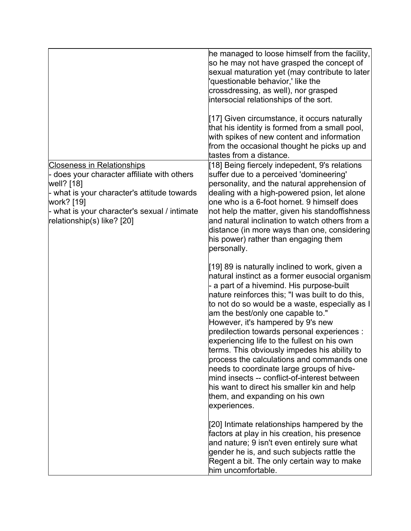|                                                                                                                                                                                                                                           | he managed to loose himself from the facility,<br>so he may not have grasped the concept of<br>sexual maturation yet (may contribute to later<br>'questionable behavior,' like the<br>crossdressing, as well), nor grasped<br>intersocial relationships of the sort.<br>[17] Given circumstance, it occurs naturally<br>that his identity is formed from a small pool,<br>with spikes of new content and information<br>from the occasional thought he picks up and<br>tastes from a distance.                                                                                                                                                                                                                         |
|-------------------------------------------------------------------------------------------------------------------------------------------------------------------------------------------------------------------------------------------|------------------------------------------------------------------------------------------------------------------------------------------------------------------------------------------------------------------------------------------------------------------------------------------------------------------------------------------------------------------------------------------------------------------------------------------------------------------------------------------------------------------------------------------------------------------------------------------------------------------------------------------------------------------------------------------------------------------------|
| <b>Closeness in Relationships</b><br>- does your character affiliate with others<br>well? [18]<br>- what is your character's attitude towards<br>work? [19]<br>- what is your character's sexual / intimate<br>relationship(s) like? [20] | [18] Being fiercely indepedent, 9's relations<br>suffer due to a perceived 'domineering'<br>personality, and the natural apprehension of<br>dealing with a high-powered psion, let alone<br>one who is a 6-foot hornet. 9 himself does<br>not help the matter, given his standoffishness<br>and natural inclination to watch others from a<br>distance (in more ways than one, considering<br>his power) rather than engaging them<br>personally.                                                                                                                                                                                                                                                                      |
|                                                                                                                                                                                                                                           | [19] 89 is naturally inclined to work, given a<br>natural instinct as a former eusocial organism<br>- a part of a hivemind. His purpose-built<br>nature reinforces this; "I was built to do this,<br>to not do so would be a waste, especially as I<br>am the best/only one capable to."<br>However, it's hampered by 9's new<br>predilection towards personal experiences :<br>experiencing life to the fullest on his own<br>terms. This obviously impedes his ability to<br>process the calculations and commands one<br>needs to coordinate large groups of hive-<br>mind insects -- conflict-of-interest between<br>his want to direct his smaller kin and help<br>them, and expanding on his own<br>experiences. |
|                                                                                                                                                                                                                                           | [20] Intimate relationships hampered by the<br>factors at play in his creation, his presence<br>and nature; 9 isn't even entirely sure what<br>gender he is, and such subjects rattle the<br>Regent a bit. The only certain way to make<br>him uncomfortable.                                                                                                                                                                                                                                                                                                                                                                                                                                                          |